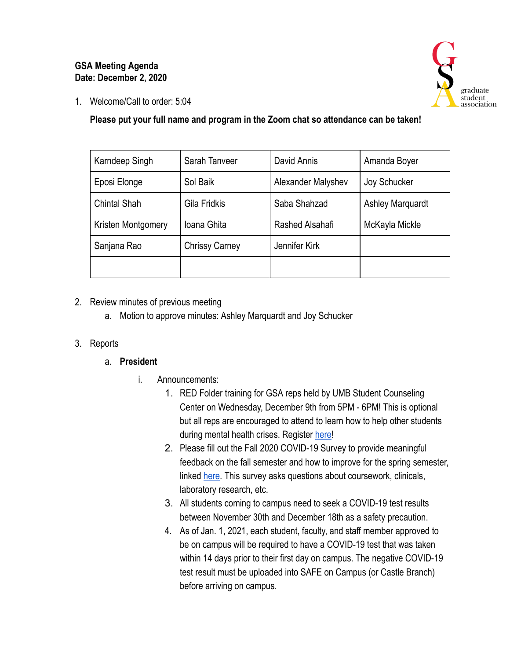## **GSA Meeting Agenda Date: December 2, 2020**



1. Welcome/Call to order: 5:04

## **Please put your full name and program in the Zoom chat so attendance can be taken!**

| Karndeep Singh      | Sarah Tanveer         | David Annis        | Amanda Boyer            |
|---------------------|-----------------------|--------------------|-------------------------|
| Eposi Elonge        | Sol Baik              | Alexander Malyshev | Joy Schucker            |
| <b>Chintal Shah</b> | Gila Fridkis          | Saba Shahzad       | <b>Ashley Marquardt</b> |
| Kristen Montgomery  | Ioana Ghita           | Rashed Alsahafi    | McKayla Mickle          |
| Sanjana Rao         | <b>Chrissy Carney</b> | Jennifer Kirk      |                         |
|                     |                       |                    |                         |

## 2. Review minutes of previous meeting

a. Motion to approve minutes: Ashley Marquardt and Joy Schucker

## 3. Reports

## a. **President**

- i. Announcements:
	- 1. RED Folder training for GSA reps held by UMB Student Counseling Center on Wednesday, December 9th from 5PM - 6PM! This is optional but all reps are encouraged to attend to learn how to help other students during mental health crises. Register [here](https://umbconnect.umaryland.edu/event/6600417)!
	- 2. Please fill out the Fall 2020 COVID-19 Survey to provide meaningful feedback on the fall semester and how to improve for the spring semester, linked [here](https://nam11.safelinks.protection.outlook.com/?url=http%3A%2F%2Fr20.rs6.net%2Ftn.jsp%3Ff%3D001wwdGLIEMqLvtvzgsXYfXy0fp3CEgKpbDZOyH9JYDA5o0n8gJTvosyXuoW3H0zrpEIXK-kZ-aEccKGmt1lAIQFLjXElr7rA5ekxrnJdryo-JF8QHHXi3sxgacN1BsTjIONDM7-bzgdP0Y9BxEkAV8qv-Cgr53Do8EUIkSQ-JgMJ89J-CtaMioEKRS0VP6EB-0Yt6-ByShA0E%3D%26c%3DvIgV766nD0uKxMgMq1zee9eLFby90SkyNXQoBUVpft4M-5cN_mCX1Q%3D%3D%26ch%3Ds2FYcmcyhUPoSRGK0ir8q4PS7pGxLscasK2Da74Bg2c_aeqVvDhlqQ%3D%3D&data=04%7C01%7Cemily_smith%40pobox.umaryland.edu%7C94ac76c8d4f74e27f3f108d88d9d08b5%7C3dcdbc4a7e4c407b80f77fb6757182f2%7C0%7C0%7C637415052878825342%7CUnknown%7CTWFpbGZsb3d8eyJWIjoiMC4wLjAwMDAiLCJQIjoiV2luMzIiLCJBTiI6Ik1haWwiLCJXVCI6Mn0%3D%7C1000&sdata=bqmKkrQcpOWFNqW2UJkjoaMXlSrT5Os%2BSJShgQf6fuE%3D&reserved=0). This survey asks questions about coursework, clinicals, laboratory research, etc.
	- 3. All students coming to campus need to seek a COVID-19 test results between November 30th and December 18th as a safety precaution.
	- 4. As of Jan. 1, 2021, each student, faculty, and staff member approved to be on campus will be required to have a COVID-19 test that was taken within 14 days prior to their first day on campus. The negative COVID-19 test result must be uploaded into SAFE on Campus (or Castle Branch) before arriving on campus.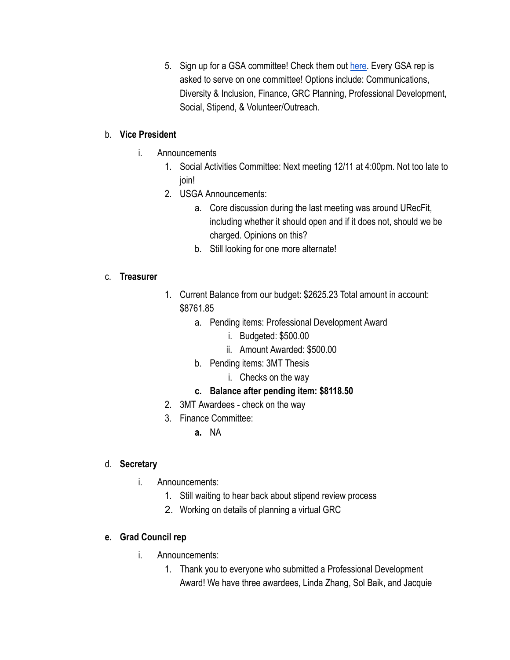5. Sign up for a GSA committee! Check them out [here](https://docs.google.com/spreadsheets/d/1xr3QjsIzToEIMlLTKzh61J_ApBAT5ZAzqzrTozF3aZk/edit?usp=sharing). Every GSA rep is asked to serve on one committee! Options include: Communications, Diversity & Inclusion, Finance, GRC Planning, Professional Development, Social, Stipend, & Volunteer/Outreach.

# b. **Vice President**

- i. Announcements
	- 1. Social Activities Committee: Next meeting 12/11 at 4:00pm. Not too late to join!
	- 2. USGA Announcements:
		- a. Core discussion during the last meeting was around URecFit, including whether it should open and if it does not, should we be charged. Opinions on this?
		- b. Still looking for one more alternate!

## c. **Treasurer**

- 1. Current Balance from our budget: \$2625.23 Total amount in account: \$8761.85
	- a. Pending items: Professional Development Award
		- i. Budgeted: \$500.00
		- ii. Amount Awarded: \$500.00
	- b. Pending items: 3MT Thesis
		- i. Checks on the way

## **c. Balance after pending item: \$8118.50**

- 2. 3MT Awardees check on the way
- 3. Finance Committee:
	- **a.** NA

## d. **Secretary**

- i. Announcements:
	- 1. Still waiting to hear back about stipend review process
	- 2. Working on details of planning a virtual GRC

## **e. Grad Council rep**

- i. Announcements:
	- 1. Thank you to everyone who submitted a Professional Development Award! We have three awardees, Linda Zhang, Sol Baik, and Jacquie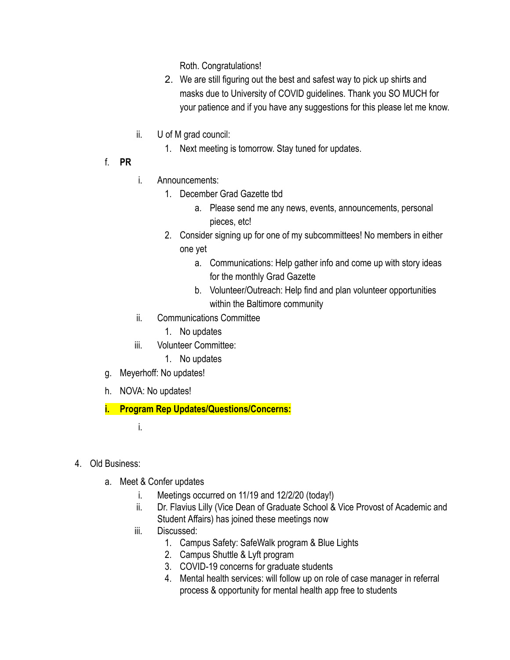Roth. Congratulations!

- 2. We are still figuring out the best and safest way to pick up shirts and masks due to University of COVID guidelines. Thank you SO MUCH for your patience and if you have any suggestions for this please let me know.
- ii. U of M grad council:
	- 1. Next meeting is tomorrow. Stay tuned for updates.
- f. **PR**
- i. Announcements:
	- 1. December Grad Gazette tbd
		- a. Please send me any news, events, announcements, personal pieces, etc!
	- 2. Consider signing up for one of my subcommittees! No members in either one yet
		- a. Communications: Help gather info and come up with story ideas for the monthly Grad Gazette
		- b. Volunteer/Outreach: Help find and plan volunteer opportunities within the Baltimore community
- ii. Communications Committee
	- 1. No updates
- iii. Volunteer Committee:
	- 1. No updates
- g. Meyerhoff: No updates!
- h. NOVA: No updates!
- **i. Program Rep Updates/Questions/Concerns:** 
	- i.
- 4. Old Business:
	- a. Meet & Confer updates
		- i. Meetings occurred on 11/19 and 12/2/20 (today!)
		- ii. Dr. Flavius Lilly (Vice Dean of Graduate School & Vice Provost of Academic and Student Affairs) has joined these meetings now
		- iii. Discussed:
			- 1. Campus Safety: SafeWalk program & Blue Lights
			- 2. Campus Shuttle & Lyft program
			- 3. COVID-19 concerns for graduate students
			- 4. Mental health services: will follow up on role of case manager in referral process & opportunity for mental health app free to students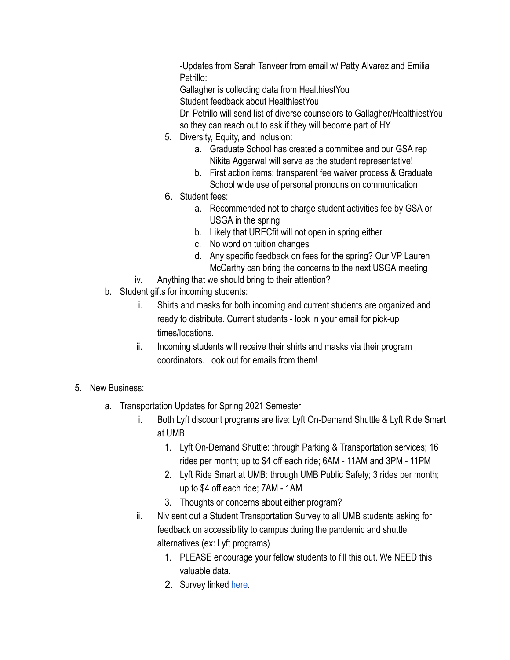-Updates from Sarah Tanveer from email w/ Patty Alvarez and Emilia Petrillo:

Gallagher is collecting data from HealthiestYou

Student feedback about HealthiestYou

Dr. Petrillo will send list of diverse counselors to Gallagher/HealthiestYou so they can reach out to ask if they will become part of HY

- 5. Diversity, Equity, and Inclusion:
	- a. Graduate School has created a committee and our GSA rep Nikita Aggerwal will serve as the student representative!
	- b. First action items: transparent fee waiver process & Graduate School wide use of personal pronouns on communication
- 6. Student fees:
	- a. Recommended not to charge student activities fee by GSA or USGA in the spring
	- b. Likely that URECfit will not open in spring either
	- c. No word on tuition changes
	- d. Any specific feedback on fees for the spring? Our VP Lauren McCarthy can bring the concerns to the next USGA meeting
- iv. Anything that we should bring to their attention?
- b. Student gifts for incoming students:
	- i. Shirts and masks for both incoming and current students are organized and ready to distribute. Current students - look in your email for pick-up times/locations.
	- ii. Incoming students will receive their shirts and masks via their program coordinators. Look out for emails from them!
- 5. New Business:
	- a. Transportation Updates for Spring 2021 Semester
		- i. Both Lyft discount programs are live: Lyft On-Demand Shuttle & Lyft Ride Smart at UMB
			- 1. Lyft On-Demand Shuttle: through Parking & Transportation services; 16 rides per month; up to \$4 off each ride; 6AM - 11AM and 3PM - 11PM
			- 2. Lyft Ride Smart at UMB: through UMB Public Safety; 3 rides per month; up to \$4 off each ride; 7AM - 1AM
			- 3. Thoughts or concerns about either program?
		- ii. Niv sent out a Student Transportation Survey to all UMB students asking for feedback on accessibility to campus during the pandemic and shuttle alternatives (ex: Lyft programs)
			- 1. PLEASE encourage your fellow students to fill this out. We NEED this valuable data.
			- 2. Survey linked here.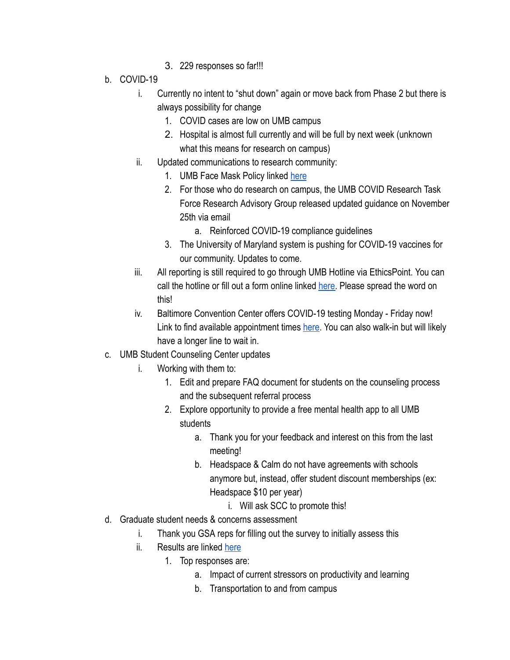- 3. 229 responses so far!!!
- b. COVID-19
	- i. Currently no intent to "shut down" again or move back from Phase 2 but there is always possibility for change
		- 1. COVID cases are low on UMB campus
		- 2. Hospital is almost full currently and will be full by next week (unknown what this means for research on campus)
	- ii. Updated communications to research community:
		- 1. UMB Face Mask Policy linked [here](https://www.umaryland.edu/coronavirus/content/human-resources/umb-policy-requiring-use-of-face-coverings.php)
		- 2. For those who do research on campus, the UMB COVID Research Task Force Research Advisory Group released updated guidance on November 25th via email
			- a. Reinforced COVID-19 compliance guidelines
		- 3. The University of Maryland system is pushing for COVID-19 vaccines for our community. Updates to come.
	- iii. All reporting is still required to go through UMB Hotline via EthicsPoint. You can call the hotline or fill out a form online linked [here](https://www.umaryland.edu/coronavirus/content/testing-hygiene-and-health/how-can-i-report-someone-who-refuses-to-properly-wear-a-face-covering-in-acco.php). Please spread the word on this!
	- iv. Baltimore Convention Center offers COVID-19 testing Monday Friday now! Link to find available appointment times here. You can also walk-in but will likely have a longer line to wait in.
- c. UMB Student Counseling Center updates
	- i. Working with them to:
		- 1. Edit and prepare FAQ document for students on the counseling process and the subsequent referral process
		- 2. Explore opportunity to provide a free mental health app to all UMB students
			- a. Thank you for your feedback and interest on this from the last meeting!
			- b. Headspace & Calm do not have agreements with schools anymore but, instead, offer student discount memberships (ex: Headspace \$10 per year)
				- i. Will ask SCC to promote this!
- d. Graduate student needs & concerns assessment
	- i. Thank you GSA reps for filling out the survey to initially assess this
	- ii. Results are linked here
		- 1. Top responses are:
			- a. Impact of current stressors on productivity and learning
			- b. Transportation to and from campus